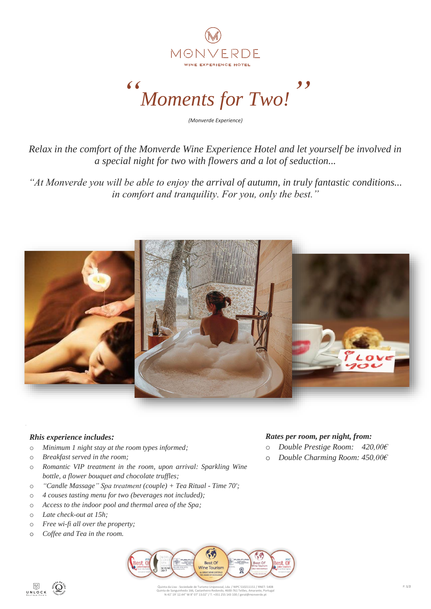

## *" Moments for Two! "*

*(Monverde Experience)*

*Relax in the comfort of the Monverde Wine Experience Hotel and let yourself be involved in a special night for two with flowers and a lot of seduction...*

*"At Monverde you will be able to enjoy the arrival of autumn, in truly fantastic conditions... in comfort and tranquility. For you, only the best."*



## *Rhis experience includes:*

- o *Minimum 1 night stay at the room types informed;*
- o *Breakfast served in the room;*
- o *Romantic VIP treatment in the room, upon arrival: Sparkling Wine bottle, a flower bouquet and chocolate truffles;*
- o *"Candle Massage" Spa treatment (couple) + Tea Ritual - Time 70';*
- o *4 couses tasting menu for two (beverages not included);*
- o *Access to the indoor pool and thermal area of the Spa;*
- o *Late check-out at 15h;*
- o *Free wi-fi all over the property;*
- o *Coffee and Tea in the room.*

## *Rates per room, per night, from:*

- o *Double Prestige Room: 420,00€*
- o *Double Charming Room: 450,00€*